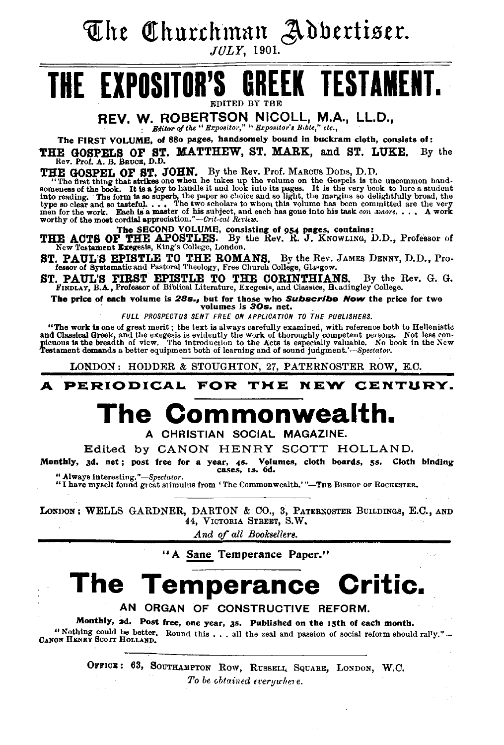The Churchman Adbertiser.

JULY, 1901.

## THE EXPOSITOR'S **GREEK TESTAMENT.**

REV. W. ROBERTSON NICOLL, M.A., LL.D.,

Editor of the " Expositor," " Expositor's Bible." etc..

The FIRST VOLUME, of 880 pages, handsomely bound in buckram cloth, consists of:

THE GOSPELS OF ST. MATTHEW, ST. MARK, and ST. LUKE. By the

THE GOSPEL OF ST. JOHN. By the Rev. Prof. MARCUS DODS, D.D.<br>"The first thing that strikes one when he takes up the volume on the Gospels is the uncommon hand-<br>someness of the book. It is a joy to handle it and look into it

THE ACTS OF THE APOSTLES. By the Rev. R. J. KNOWLING, D.D., Professor of New Testament Exegesis, King's College, London.

ST. PAUL'S EPISTLE TO THE ROMANS. By the Rev. JAMES DENNY, D.D., Professor of Systematic and Pastoral Theology, Free Church College, Glasgow.

ST. PAUL'S FIRST EPISTLE TO THE CORINTHIANS. By the I FINDLAY, B.A., Professor of Biblical Literature, Exegesis, and Classics, Haadingley College. By the Rev. G. G.

The price of each volume is 28s., but for those who Subscribe Now the price for two<br>volumes is 30s. net.

FULL PROSPECTUS SENT FREE ON APPLICATION TO THE PUBLISHERS.

"The work is one of great merit; the text is always carefully examined, with reference both to Hellenistic and Classical Greek, and the exceptis is evidently the work of thoroughly competent persons. Not less contract the exception of the exception of the exception of the exception of the exception of the exception of the excep

LONDON: HODDER & STOUGHTON, 27, PATERNOSTER ROW, E.C.

**PERIODICAL** FOR THE **NEW** CENTURY. Δ

# The Commonwea

A CHRISTIAN SOCIAL MAGAZINE.

Edited by CANON HENRY SCOTT HOLLAND.

Monthly, 3d. net; post free for a year, 4s. Volumes, cloth boards, 5s. Cloth binding cases, 1s. 6d.

" Always interesting."-Spectator.<br>"I have myself found great stimulus from 'The Commonwealth.'"-THE BISHOP OF ROCHESTER.

LONDON: WELLS GARDNER, DARTON & CO., 3, PATERNOSTER BUILDINGS, E.C., AND 44, VICTORIA STREET, S.W.

And of all Booksellers.

"A Sane Temperance Paper."

# The Temperance Critic.

AN ORGAN OF CONSTRUCTIVE REFORM.

Monthly, 2d. Post free, one year, 3s. Published on the 15th of each month. "Nothing could be better. Round this ... all the zeal and passion of social reform should rally."-<br>CANON HENRY SCOTT HOLLAND.

> OFFICE: 63, SOUTHAMPTON ROW, RUSSELL SQUARE, LONDON, W.C. To be obtained everywhere.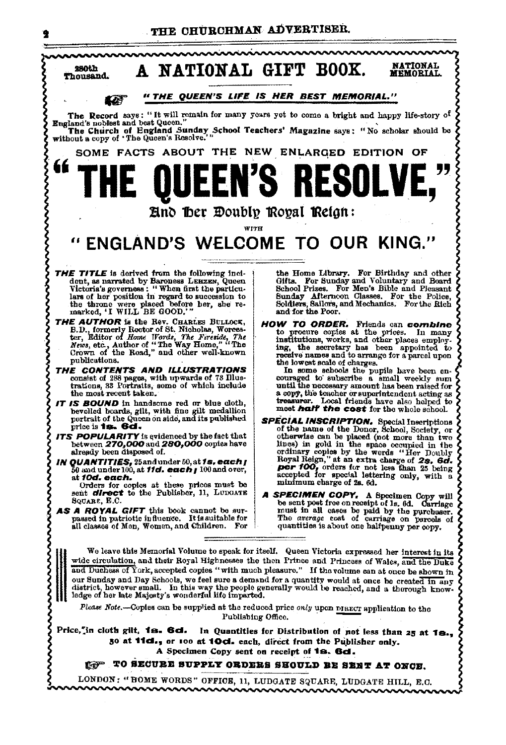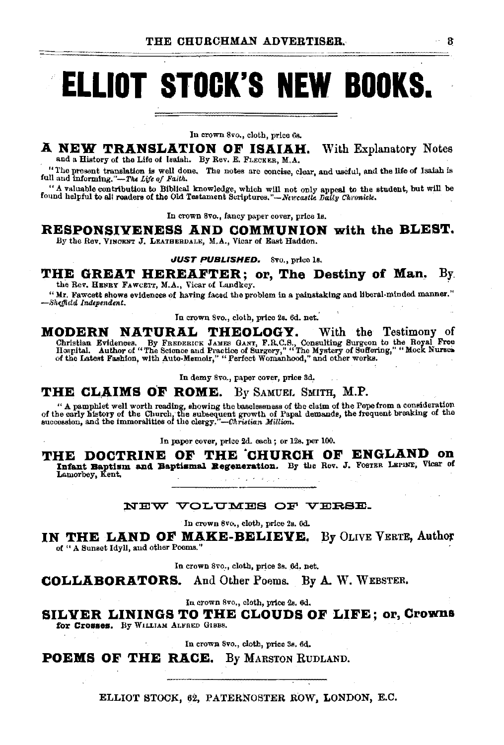# **ELLIOT STOCK'S NEW BOOKS.**

In crown 8vo., cloth, price 68.

## **A NEW TRANSLATION OF ISAIAH.** With Explanatory Notes

and a History of the Life of Isaiah. By Rev. E. FLECKER, M.A.

"The present translation is well done, The notes are concise, clear, and useful, and the life of Isaiah is full and informing."-The Life of Faith.

"A valuable contribution to Biblical knowledge, which will not only appeal to the student, but will be found helpful to all readers of the Old Testament Scriptures."—Nexcastle Daily Chronicle.

In crown Svo., fancy paper cover, price ls,

**RESPONSIVENESS AND COMMUNION with the BLEST.**  By the Rev. VINOENT J. LEATHERDALE, M.A., Vicar of East Haddon.

**JUST PUBLISHED.** 8vo., price ls.

## THE GREAT HEREAFTER; or, The Destiny of Man, By. the Rev. HENRY FAWCETT, M.A., Vicar of Landkey.

"Mr. Fawcett shows evidences of having faced the problem in a painstaking and liberal-minded manner." -Sheffield Independent.

In crown Svo., cloth, price 2s. 6d. net.'

**MODERN NATURAL THEOLOGY.** With the Testimony of Christian Evidences. By FREDERICK JAMES GANT, F.R.C.S., Consulting Surgeon to the Royal Free<br>Hospital. Author of "The Science and Practice of Surgery," "The Mystery of Suffering," "Mock Nurses.<br>of the Latest Fashion, with

In demy 8vo., paper cover, price 3d,

**THE CL,AIMS OF ROME.** By SAMUEr. SMITH, **M.P.** 

" A pamphlet well worth reading, showing the baselessness of the claim of the Pope from a consideration<br>of the early history of the Church, the subsequent growth of Papal demands, the frequent breaking of the<br>succession,

In paper cover, price 2d. each ; or 12s. per 100.

**THE DOCTRINE OF THE 'CHURCH OF ENGLAND on**  Infant Baptism and Baptismal Regeneration. By the Rev. J. Foster Lerine, Vicar of Lamorbey, Kent.  $\omega \rightarrow -\pi$ 

#### NEW VOLUMES OF VERSE.

In crown Svo., cloth, price 2s. 6d.

**IN THE LAND OF MAKE-BELIEVE.** By OLIVE VERTE, Author of " A Sunset Idyll, and other Poems."

In crown 8vo., cloth, price 3s. 6d. net.

**COLLABORATORS.** And Other Poems. **By A.** W. WEBSTER.

In crown 8vo., cloth, price 2s. 6d.

**SILVER LININGS TO THE CLOUDS OF LIFE; or, Crowns**  for **Crosses.** By WILLIAM ALFRED GIBBS.

In crown Svo., cloth, price Bs. 6d.

**POEMS OF THE RACE.** By MARSTON RUDLAND.

ELLIOT STOCK, 62, PATERNOSTER ROW, LONDON, E.C.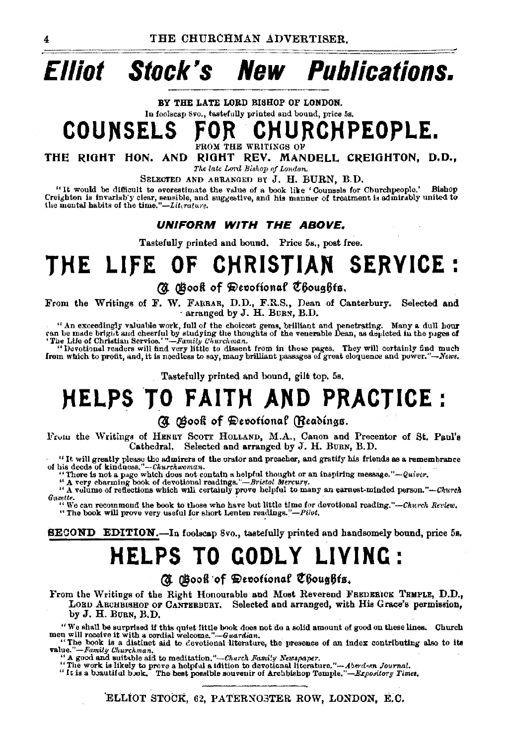## **New Publications. Elliot** Stock's

BY THE LATE LORD BISHOP OF LONDON. In foolscap 8vo., tastefully printed and bound, price 5s.

## **COUNSELS** CHURCHPEOPLE.

OM THE WRITINGS OF

THE RIGHT HON. AND RIGHT REV. MANDELL CREIGHTON, D.D.,

The late Lord Bishop of London.

SELECTED AND ARRANGED BY J. H. BURN, B.D.

"It would be difficult to overestimate the value of a book like 'Counsels for Churchpeople.' Bishop Creighton is invariab'y clear, sensible, and suggestive, and his manner of treatment is admirably united to the montal habits of the time."—Lit.rature.

#### *UNIFORM WITH THE ABOVE.*

Tastefully printed and bound. Price 5s., post free.

## **CHRISTIAN SERVICE:** THE LIFE OF

## A Gook of Devotional Choughts.

From the Writings of F. W. FABBAR, D.D., F.R.S., Dean of Canterbury. Selected and arranged by J. H. BURN, B.D.

"An exceedingly valuable work, full of the choicest gems, brilliant and penetrating. Many a dull hour can be made bright and cheerful by studying the thoughts of the venerable Dean, as depicted in the pages of The Life of

"Devotional readers will find very little to dissent from in these pages. They will certainly find much from which to profit, and, it is needless to say, many brilliant passages of great eloquence and power."-News.

Tastefully printed and bound, gilt top, 5s,

# **HELPS TO FAITH AND PRACTICE:**

### (N Gook of Devotional (Readings.

From the Writings of HENRY SCOTT HOLLAND, M.A., Canon and Precentor of St. Paul's Cathedral. Selected and arranged by J. H. BURN, B.D.

"It will greatly please the admirers of the orator and preacher, and gratify his friends as a remembrance of his decds of kindness."--Churchwoman.<br>"There is not a page which does not contain a helpful thought or an inspir

" A volume of reflections which will certainly prove helpful to many an earnest-minded person."-Church Gazette.

"We can recommend the book to those who have but little time for devotional reading."-Church Review. "The book will prove very useful for short Lenten readings."-Pilot.

#### SECOND EDITION.-In foolscap 8vo., tastefully printed and handsomely bound, price 5s.

## **HELPS TO GODLY LIVING:**

(N Gook of Devotional Choughts.

From the Writings of the Right Honourable and Most Reverend FREDERICK TRMPLE, D.D., LORD ARCHBISHOP OF CANTERBURY. Selected and arranged, with His Grace's permission, by J. H. BURN, B.D.

"We shall be surprised if this quiet little book does not do a solid amount of good on these lines. Church men will receive it with a cordial welcome."-Guardian.<br>"The book is a distinct aid to devotional literature, the p

value."-Family Churchman.

A good and suitable aid to meditation."-Church Family Newspaper.

"The work is likely to prove a helpful a Idition to devotional literature."-Aberdeen Journal.

"It is a beautiful book. The best possible souvenir of Archbishop Temple."-Expository Times.

ELLIOT STOCK, 62, PATERNOSTER ROW, LONDON, E.C.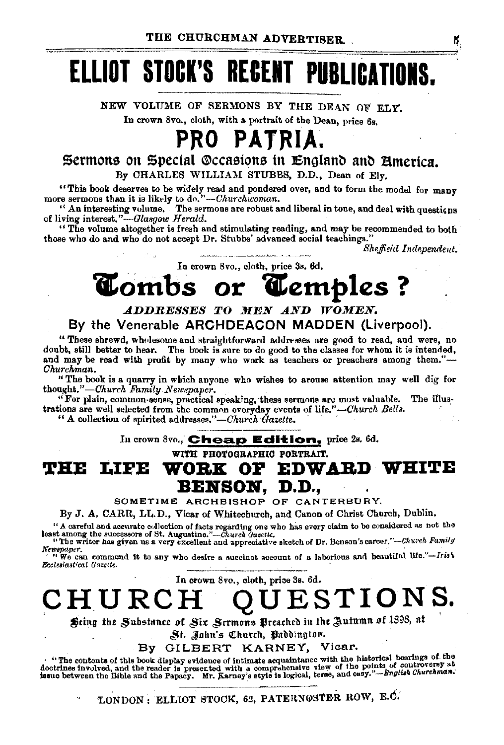# **ELLIOT STOCK'S RECERT PUBLICATIOIS.**

NEW VOLUME OF SERMONS BY THE DEAN OF ELY. In crown 8vo., cloth, with a portrait of the Dean, price 6s.

## **PRO PATRIA.**

## Sermons on Special Occasions in England and America. By CHARLES WILLIAM STUBBS, D.D., Dean of Ely,

"This book deserves to be widely read and pondered over, and to form the model for many more sermons than it is likely to do.''--Churchwoman.

'' An interesting volume. The sermons are robust and liberal in tone, and deal with questions of living *interest.''-Glasgow Herald*.

"The volume altogether is fresh and stimulating reading, and may be recommended to both those who do and who do not accept Dr. Stubbs' advanced social teachings.

*Sheffield I nclependent.* 

In crown 8vo., cloth, price 3s. 6d.

# **'itombs or 'itemples** ?

## *ADDRESSES TO MEN AND WOMEN.* By the Venerable ARCHDEACON MADDEN (Liverpool).

"These shrewd, wholesome and straightforward addresses are good to read, and were, no doubt, still better to hear. The book is sure to do good to the classes for whom it is intended, and may be read with profit by many who work as teachers or preachers among them."-*Churchman.* 

"The book is a quarry in which anyone who wishes to arouse attention may well dig for thought."-Church Family Newspaper.

"For plain, common-sense, practical speaking, these sermons are most valuable. The illustrations are well selected from the common everyday events of life."-Church Bells.

" A collection of spirited addresses.'''-Ohurch *'Gazette;* ·

In crown 8vo., **Cheap Edition,** price 2s. 6d.

WITH PHOTOGRAPHIO PORTRAIT.

**THE LIFE WORK OF EDWARD WHITE** BENSON, D.D.,

SOMETIME ARCHBISHOP OF CANTERBURY.

By J. A. CARR, LL.D., Vicar of Whitechurch, and Canon of Christ Church, Dublin.

" A careful and accurate collection of facts regarding one who has every claim to be considered as not the least among the successors of St. Augustine."-Church Gazette.

"The writer has given us a very excellent and appreciative sketch of Dr. Benson's career."-Church Family Newspaper.<br>' "We can commend it to any who desire a succinct account of a laborious and beautiful life."-Irist *Ecclesiast•cal Gazette.* ·

In crown 8vo., cloth, prioe 3s. 6d.

**CHURCH** QUESTION~.

Sting the Substance of Six Scrmons Preached in the Autumn of 1898, at

St. John's Church, Paddington.

By GILBERT KARNEY, Vicar.

· ''The contents of this book display evidence of intimate acquaintance with the historical bearings of tht sex converse involved, and the reader is presented with a comprehensive view of the points of controversy at doctrines involved, and the reader is presented with a comprehensive view of the points of controversy at issue b

LONDON: ELLIOT STOCK, 62, PATERNOSTER ROW, E.C.

6.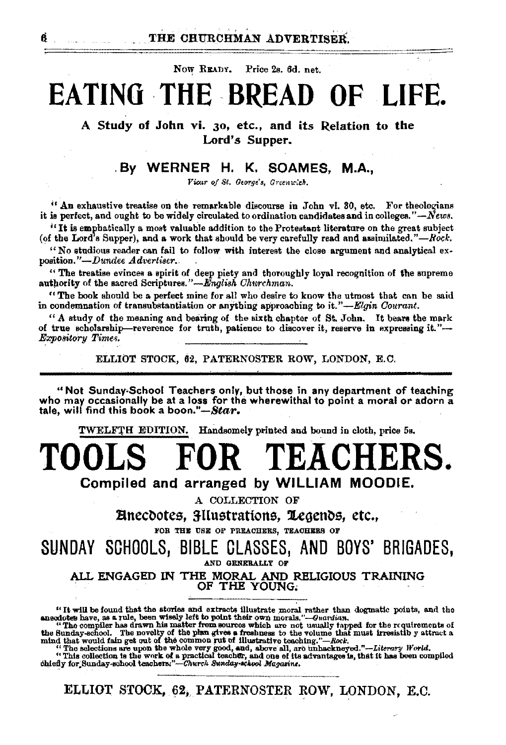Now READY. Price 2s. 6d. net.

# **EATING THE BREAD OF LIFE**

A Study of John vi. 30, etc., and its Relation to the Lord's Supper.

## . By WERNER H. K. SOAMES, M.A.,

Vicur of St. George's, Greenwich.

 $''$  An exhaustive treatise on the remarkable discourse in John vi. 30, etc. For theologians it is perfect, and ought to be widely circulated to ordination candidates and in colleges." $-\dot{N}$ ews.

''It is emphatically a most valuable addition to the Protestant literature on the great subject (of the Lord's Supper), and a work that should be very carefully read and assimilated." $-Rock$ .

"No studious reader can fail to follow with interest the close argument and analytical ex· position."-Dundee *Advertiser..* .

" The treatise evinces a spirit of deep piety and thoroughly loyal recognition of the supreme authority of the sacred Scriptures." -English Churchman.

"The book should be a perfect mine for all who desire to know the utmost that can be said in condemnation of transubstantiation or anything approaching to it."-*Elgin Courant.* 

 $"$  A study of the meaning and bearing of the sixth chapter of St. John. It bears the mark of true scholarship-reverence for truth, patience to discover it, reserve in expressing it."- $Exposure Times.$ 

ELLIOT STOCK, 62, PATERNOSTER ROW, LONDON, E.C.

"Not Sunday-School Teachers only, but those in any department of teaching who may occasionally be at a loss for the wherewithal to point a moral or adorn a tale, will find this book a *boon."-Star.* 

TWELFrH EDITION. Handsomely printed and bound in cloth, price 5a,

## **OR TEACHERS.** Compiled and arranged by WILLIAM MOODIE.

A COLLECTION OF

Einecdotes, 3IIustrations, Legends, etc., FOR THE USE OF PREACHERS, TEACHERS OF

SUNDAY SCHOOLS, BIBLE GLASSES, AND BOYS' BRIGADES, AND GENERALLY OF

ALL ENGAGED IN THE MORAL AND RELIGIOUS TRAINING . OF THE YOUNG;

"It will be found that the stories and extracts illustrate moral rather than dogmatic points, and the anecdotes have, as a rule, been wisely left to point their own morals."—Guardian, "The compiler has drawn his matter fr

"This collection is the work of a practical teacher, and one of its advantages is, that it has been compiled chiefly for;Sunday-school teachers:"--Church Sunday-achool Magazine.

ELLIOT STOCK, 62, PATERNOSTER ROW, LONDON, E.C.

6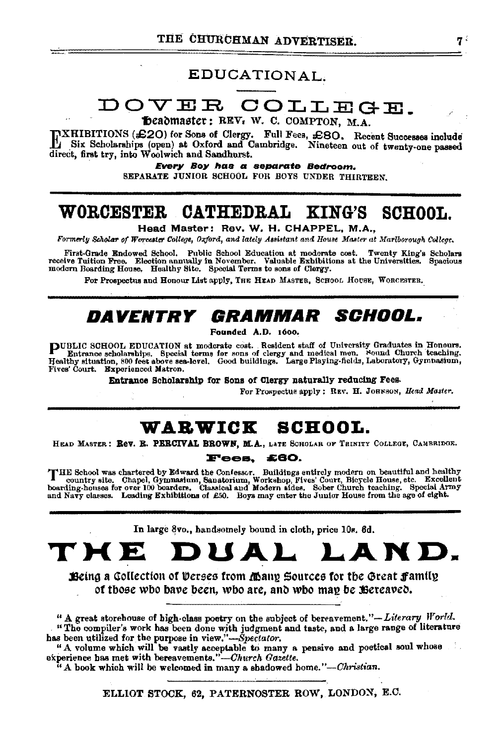## EDUCATIONAL.

## DOVER COLLEGE.

Deadmaster: REV. W. C. COMPTON, M.A.

TXHIBITIONS (£20) for Sons of Clergy. Full Fees, £80. Recent Successes include Li Six Scholarships (open) at Oxford and Cambridge. Nineteen out of twenty-one passed direct, first try, into Woolwich and Sandhurst.

Every Boy has a separate Bedroom. SEPARATE JUNIOR SCHOOL FOR BOYS UNDER THIRTEEN.

#### WORCESTER CATHEDRAL KING'S **SCHOOL.**

Head Master: Rev. W. H. CHAPPEL, M.A.,

Formerly Scholar of Worcester College, Oxford, and lately Assistant and House Master at Mariborough College.

First-Grade Endowed School. Public School Education at moderate cost. Twenty King's Scholars receive Tuition Free. Election annually in November. Valuable Exhibitions at the Universities. Spacious modern Boarding House. Healthy Site. Special Terms to sons of Clergy.

For Prospectus and Honour List apply, THE HEAD MASTER, SCHOOL HOUSE, WORCESTER.

## DAVENTRY GRAMMAR SCHOOL.

Founded A.D. 1600.

PUBLIC SCHOOL EDUCATION at moderate cost. Resident staff of University Graduates in Honours.<br>Entrance scholarships. Special terms for sons of clergy and medical men. Sound Church teaching.<br>Healthy situation, 800 feet above Fives' Court. Experienced Matron.

Entrance Scholarship for Sons of Clergy naturally reducing Fees.

For Prospectus apply: REV. H. JOHNSON, Head Master.

## WARWICK SCHOOL.

HEAD MASTER: Rev. R. PERCIVAL BROWN, M.A., LATE SCHOLAR OF TRINITY COLLEGE, CAMBRIDGE.

#### **Fees. £60.**

THE School was chartered by Edward the Confessor. Buildings entirely modern on beautiful and healthy country site. Chapel, Gymnasium, Sanatorium Workshop, Fives' Court, Bicycle House, etc. Excellent boarding-houses for ove

In large 8vo., handsomely bound in cloth, price 10s. 6d.

## DUAL LAND. THE E

Being a Collection of Verses from Many Sources for the Great Family of those who have been, who are, and who may be Bereaved.

" A great storehouse of high-class poetry on the subject of bereavement."-Literary World. "The compiler's work has been done with judgment and taste, and a large range of literature has been utilized for the purpose in view."-Spectator.

" A volume which will be vastly acceptable to many a pensive and poetical soul whose experience has met with bereavements."-Church Gazette.

"A book which will be welcomed in many a shadowed home."-Christian.

ELLIOT STOCK, 62, PATERNOSTER ROW, LONDON, E.C.

74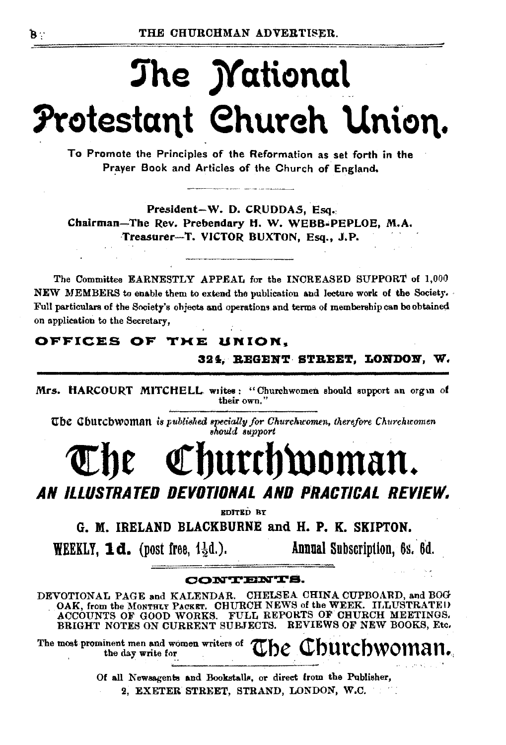# The *Mational* Protestant Church Union.

To Promote the Principles of the Reformation as set forth in the Prayer Book and Articles of the Church of England,

President-W. D. CRUDDAS, Esq. Chairman-The Rev. Prebendary H. W. WEBB-PEPLOE, M.A. Treasurer-T. VICTOR BUXTON, Esq., J.P.

The Committee EARNESTLY APPEAL for the INCREASED SUPPORT of 1,000 NEW MEMBERS to enable them to extend the publication and lecture work of the Society. Full particulars of the Society's objects and operations and terms of membership can be obtained on application to the Secretary,

## OFFICES OF THE UNION.

## 324, REGENT STREET, LONDON, W.

Mrs. HARCOURT MITCHELL writes: "Churchwomen should support an organ of their own."

The Churchwoman is published specially for Churchwomen, therefore Churchwomen should support

# Churchwoman.

## AN ILLUSTRATED DEVOTIONAL AND PRACTICAL REVIEW.

EDITED BY

G. M. IRELAND BLACKBURNE and H. P. K. SKIPTON.

**WEEKLY, 1d.** (post free,  $1\frac{1}{2}d$ .).

Annual Subscription, 6s. 6d.

#### *CONTENTS.*

DEVOTIONAL PAGE and KALENDAR. CHELSEA CHINA CUPBOARD, and BOG OAK, from the MONTHLY PACKET. CHURCH NEWS of the WEEK. ILLUSTRATED ACCOUNTS OF GOOD WORKS. FULL REPORTS OF CHURCH MEETINGS. BRIGHT NOTES ON CURRENT SUBJECTS. REVIEWS OF NEW BOOKS. Etc.

The most prominent men and women writers of The Churchwoman.

Of all Newsagents and Bookstalls, or direct from the Publisher, 2, EXETER STREET, STRAND, LONDON, W.C.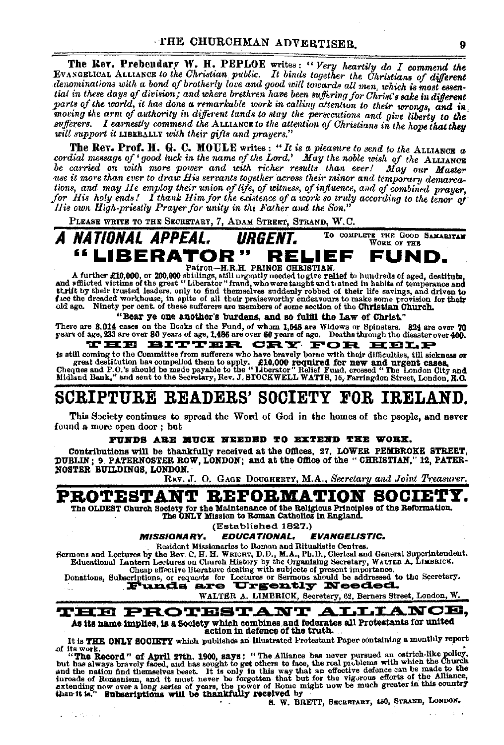The Rev. Prebendary W. H. PEPLOE writes: "Very heartily do I commend the EVANGELICAL ALLIANCE to the Christian public. It binds together the Christians of different denominations with a bond of brotherly love and good will tial in these days of division; and where brethren have been suffering for Christ's sake in different parts of the world, it has done a remarkable work in calling attention to their wrongs, and in moving the arm of authority in different lands to stay the persecutions and give liberty to the sufferers. I earnestly commend the ALLIANCE to the attention of Christians in the hope that they will support it LIBERALLY with their gifts and prayers."

The Rev. Prof. H. G. C. MOULE writes: "It is a pleasure to send to the ALLIANCE  $\alpha$ cordial message of 'good luck in the name of the Lord.' May the noble wish of the LALANORE carried on with more power and with richer results than ever! May our Master use it more than ever to draw His servants together across their minor and temporary demarcations, and may He employ their union of life, of witness, of influence, and of combined prayer. for His holy ends! I thank Him for the existence of a work so truly according to the tenor of His own High-priestly Prayer for unity in the Father and the Son."

PLEASE WRITE TO THE SECRETARY, 7, ADAM STREET, STRAND, W.C.

TO COMPLETE THE GOOD SAMARITAN A NATIONAL APPEAL. URGENT. WORK OF THE "LIBERATOR" RELIEF FUND. Patron-H.R.H. PRINCE CHRISTIAN

A further £10,000, or 200,000 shillings, still urgently needed to give relief to hundreds of aged, destitute,<br>and afflicted victims of the great "Liberator" fraud, who were taught and a shill and a flicted victims of the g structure of the dealers were and the preservation of the contract of the contract of the contract of the contract of the contract of the contract of the contract of the contract of the contract of the contract of the cont

"Bear ye one another's burdens, and so fulfil the Law of Christ."

There are 3,014 cases on the Books of the Fund, of whom 1,548 are Widows or Spinsters. 824 are over 70 years of age, 233 are over 80 years of age, 1,486 are over 60 years of age, 233 are over 80 years of age, 1,486 are ove

THE BITTER CRY FOR HELP

is still coming to the Committee from sufferers who have bravely borne with their difficulties, till sickness or great destitution has compelled them to apply. \$10,000 required for new and urgent cases, we can destitution has compelled them to apply. \$10,000 required for new and urgent cases.<br>Cheques and P.O.'s should be made payable

## SCRIPTURE READERS' SOCIETY FOR IRELAND.

This Society continues to spread the Word of God in the homes of the people, and never found a more open door: but

#### FUNDS ARE MUCH NEEDED TO EXTEND THE WORK.

Contributions will be thankfully received at the Offices, 27, LOWER PEMBROKE STREET, DUBLIN; 9. PATERNOSTER ROW, LONDON; and at the Office of the "CHRISTIAN," 12, PATER-NOSTER BUILDINGS, LONDON.

R<sub>KV</sub>. J. O. GAGE DOUGHERTY, M.A., Secretary and Joint Treasurer.

## PROTESTANT REFORMATION SOCIETY.

The OLDEST Church Society for the Maintenance of the Religious Principles of the Reformation.<br>The ONLY Mission to Roman Catholics in England.

(Established 1827.)

**EDUCATIONAL. MISSIONARY. EVANGELISTIC.** 

Resident Missionaries to Roman and Ritualistic Centres.

Bermons and Lectures by the Rev. C. H. H. WRIGHT, D.D., M.A., Ph.D., Clerical and General Superintendent. Educational Lantern Lectures on Church History by the Organizing Secretary, WALTER A, LIMBRICK, Cheap effective literature dealing with subjects of present importance.

Donations, Subscriptions, or requests for Lettures or Sermons should be addressed to the Secretary.

WALTER A. LIMBRICK, Secretary, 62, Berners Street, London, W.



It is THE ONLY SOCIETY which publishes an Illustrated Protestant Paper containing a monthly report of its work.

or us work.<br>
"In April 27th, 1900, says: "The Alliance has never pursued an ostrich-like policy,<br>
"In Record" of April 27th, 1900, says: "The Alliance has never pursued an ostrich-like policy,<br>
but has slways bravely face

Standard St

S. W. BRETT, SECRETARY, 430, STRAND, LONDON.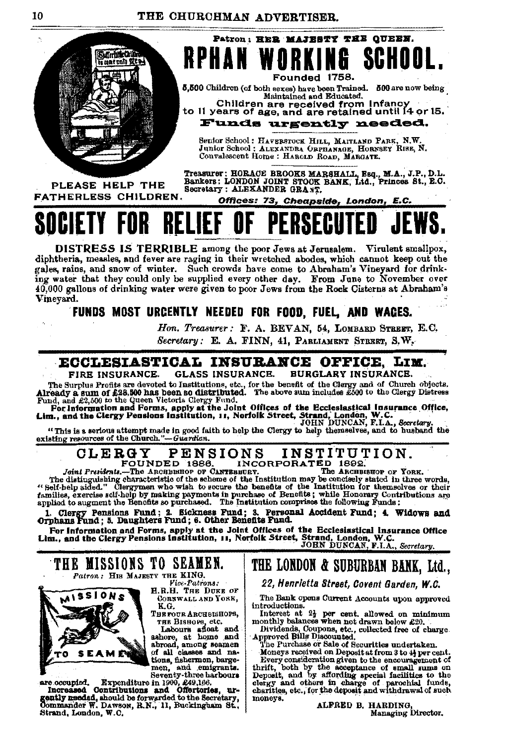**RPHAN WORKING** 



Founded 1758. 5,500 Children (of both sexes) have been Trained. 500 are now being Maintained and Educated. Children are received from Infancy<br>to 11 years of age, and are retained until 14 or 15.

Patron: HER MAJESTY THE QUEEN.

SCHOOI

Funds urgently needed.

Senior School: HAVERSTOCK HILL, MAITLAND PARK, N.W.<br>Junior School: ALEXANDRA ORPHANAGE, HORNSEY RISE, N. Convalescent Home: HAROLD ROAD, MARGATE.

PLEASE HELP THE FATHERLESS CHILDREN.

Treasurer: HORACE BROOKS MARSHALL, Esq., M.A., J.P., D.L.<br>Bankers: LONDON JOINT STOCK BANK, Ltd., Princes St., E.C. Secretary: ALEXANDER GRANT.

Offices: 73, Cheapside, London, E.C.

# REI

DISTRESS IS TERRIBLE among the poor Jews at Jerusalem. Virulent smallpox, diphtheria, measles, and fever are raging in their wretched abodes, which cannot keep out the gales, rains, and snow of winter. Such crowds have come to Abraham's Vineyard for drinking water that they could only be supplied every other day. From June to November over 40.000 gallons of drinking water were given to poor Jews from the Rock Cisterns at Abraham's Vineyard.

## FUNDS MOST URGENTLY NEEDED FOR FOOD, FUEL, AND WAGES.

Hon. Treasurer: F. A. BEVAN, 54, LOMBARD STREET, E.C. Secretary: E. A. FINN. 41. PARLIAMENT STREET, S.W.

## ECCLESIASTICAL INSURANCE OFFICE. LIM.

**GLASS INSURANCE. BURGLARY INSURANCE.** FIRE INSURANCE. FIRE INSURANCE. ULASS INSURANCE BURGLINE IN AVAILABLE THE Survey and of Church objects.<br>The Survey and of first are devoted to Institutions, etc., for the benefit of the Glergy plateres<br>Fund, and £2,500 to the Queen Victor

"This is a serious attempt made in good faith to help the Clergy to help themselves, and to husband the existing resources of the Church."-Guardian.

#### INSTITUTION. **CLERGY PENSIONS** INCORPORATED 1892.<br>BEURY. The ARCHBISHOP OF YORK. FOUNDED 1886.

Joint Presidents.-The ARCHBISHOP OF CANTERHURY.

The distinguishing characteristic of the scheme of the Institution may be concisely stated in torse,<br>The distinguishing characteristic of the scheme of the Institution may be concisely stated in three words,<br>"Self-help aid

1. Clergy Pensions Fund; 2. Sickness Fund; 3. Personal Accident Fund; 4. Widows and Orphans Fund; 5. Daughters Fund; 6. Other Benefits Fund.

Or United Street, Street, Street, Street, Street, Condon, W.C.<br>For Information and Forms, apply at the Joint Offices of the Ecclesiastical Insurance Office<br>Lim., and the Clergy Pensions Institution, 11, Norfolk Street, Str



*Vice-Patrons:*<br>H.R.H. THE DUKE OF CORNWALL AND YORK, K.G.

THE FOUR ARCHBISHOPS,

THE BISHOPS, etc.<br>
Labours afloat and<br>
ashore, at home and<br>
abroad, among seamen of all classes and nations, fishermon, bargemen, and emigrants. Seventy-three harbours

are occupied. Expenditure in 1900, 249, 196.<br>Increased Contributions and Offertories, un-<br>gankly needed, should be forwarded to the Secretary,<br>Commander W. Dawson, R.N., 11, Buckingham St.,<br>Strangham Tor, Dawson, R.N., 11, Strand, London, W.C.

THE MISSIONS TO SEAMEN.

## THE LONDON & SUBURBAN BANK, Ltd.,

22, Henrietta Street, Covent Garden, W.C.

The Bank opens Current Accounts upon approved introductions.

Interest at  $2\frac{1}{2}$  per cent. allowed on minimum monthly balances when not drawn below £20.

Dividends, Coupons, etc., collected free of charge.<br>Approved Bills Discounted.<br>The Purchase or Sale of Securities undertaken.

The Purchase or Sate of Becurrities undertaken.<br>
Moneys received on Deposit at from 3 to 4} per cent.<br>
Every consideration given to the encouragement of<br>
thrift, both by the acceptance of small sums on<br>
Deposit, and by aff moneys.

ALFRED B. HARDING, Managing Director.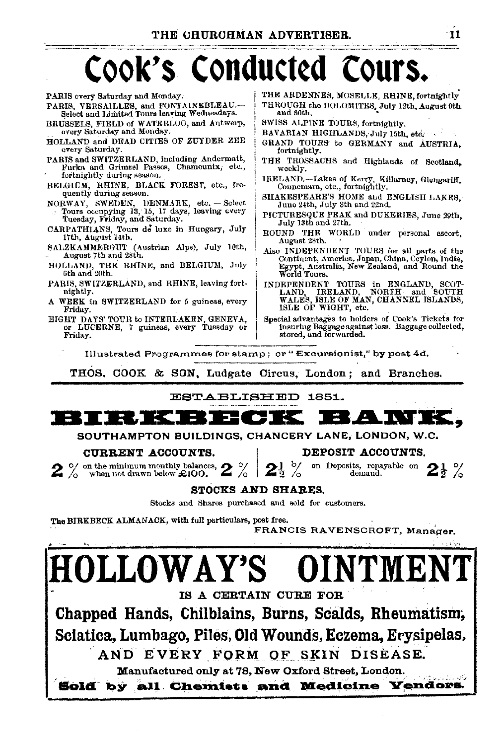# Cook's Conducted Cours.

and 30th

| every Saturday and Monday.                     | BAVARIAN HIGHLANDS, July 15th, etc.                 |
|------------------------------------------------|-----------------------------------------------------|
| HOLLAND and DEAD CITIES OF ZUYDER ZEE          | GRAND TOURS to GERMANY and AUSTRIA,                 |
| every Saturday.                                | fortnightly.                                        |
| PARIS and SWITZERLAND, including Andermatt,    | THE TROSSACHS and Highlands of Scotland,            |
| Furks and Grimsel Passes, Chamounix, etc.,     | weekly.                                             |
| fortnightly during season.                     | IRELAND.-Lakes of Kerry, Killarney, Glengariff,     |
| BELGIUM, RHINE, BLACK FOREST, etc., fre-       | Connemara, etc., fortnightly,                       |
| quently during season.                         | SHAKESPEARE'S HOME and ENGLISH LAKES.               |
| NORWAY, SWEDEN, DENMARK, etc. - Select         | June 24th, July 8th and 22nd.                       |
| Tours occupying 13, 15, 17 days, leaving every | PICTURESQUE PEAK and DUKERIES, June 29th.           |
| Tuesday, Friday, and Saturday.                 | July 13th and 27th.                                 |
| CARPATHIANS, Tours de luxe in Hungary, July    | ROUND THE WORLD under personal escort,              |
| 17th, August 14th,                             | August 28th.                                        |
| SALZKAMMERGUT (Austrian Alps), July 10th,      | Also INDEPENDENT TOURS for all parts of the         |
| August 7th and 28th.                           | Continent, America, Japan, China, Ceylon, India,    |
| HOLLAND, THE RHINE, and BELGIUM, July          | Egypt, Australia, New Zealand, and Round the        |
| 6th and 20th.                                  | World Tours.                                        |
| PARIS, SWITZERLAND, and RHINE, leaving fort-   | INDEPENDENT TOURS in ENGLAND, SCOT-                 |
| nightly.                                       | LAND, IRELAND, NORTH and SOUTH                      |
| A WEEK in SWITZERLAND for 5 guineas, every     | WALES, ISLE OF MAN, CHANNEL ISLANDS,                |
| Friday.                                        | ISLE OF WIGHT, etc.                                 |
| EIGHT DAYS' TOUR to INTERLAKEN, GENEVA,        | Special advantages to holders of Cook's Tickets for |
| or LUCERNE, 7 guineas, every Tuesday or        | insuring Baggage against loss. Baggage collected,   |

or LUCERNE, 7 guineas, every Tuesday or Friday,

PARIS overy Saturday and Monday.

PARIS, VERSAILLES, and FONTAINEBLEAU.--

BRITSSELS FIELD of WATERLOO and Antwerp.

Illustrated Programmes for stamp; or "Excursionist," by post 4d.

THOS, COOK & SON, Ludgate Circus, London; and Branches.



#### CURRENT ACCOUNTS.

O/ on the minimum monthly balances, when not drawn below £100.

DEPOSIT ACCOUNTS.

stored, and forwarded.

on Deposits, repayable on  $2\frac{1}{2}$  %

THE ARDENNES, MOSELLE, RHINE, fortnightly

THROUGH the DOLOMITES, July 12th, August 9th

SWISS ALPINE TOURS fortulabily

#### **STOCKS AND SHARES.**

 $z_{\scriptscriptstyle\wedge}$ 

Stocks and Shares purchased and sold for customers.

The BIRKBECK ALMANACK, with full particulars, post free.

FRANCIS RAVENSCROFT, Manager.



71

 $\mathbb{Z}^2$  . The  $\mathbb{Z}^2$